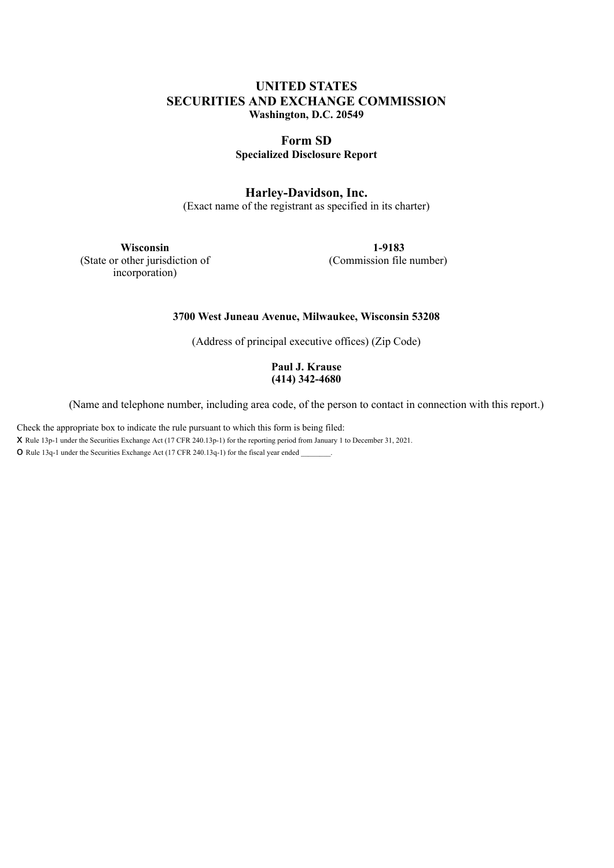# **UNITED STATES SECURITIES AND EXCHANGE COMMISSION Washington, D.C. 20549**

# **Form SD Specialized Disclosure Report**

# **Harley-Davidson, Inc.**

(Exact name of the registrant as specified in its charter)

**Wisconsin** (State or other jurisdiction of incorporation)

**1-9183** (Commission file number)

### **3700 West Juneau Avenue, Milwaukee, Wisconsin 53208**

(Address of principal executive offices) (Zip Code)

**Paul J. Krause (414) 342-4680**

(Name and telephone number, including area code, of the person to contact in connection with this report.)

Check the appropriate box to indicate the rule pursuant to which this form is being filed:

x Rule 13p-1 under the Securities Exchange Act (17 CFR 240.13p-1) for the reporting period from January <sup>1</sup> to December 31, 2021.

O Rule 13q-1 under the Securities Exchange Act (17 CFR 240.13q-1) for the fiscal year ended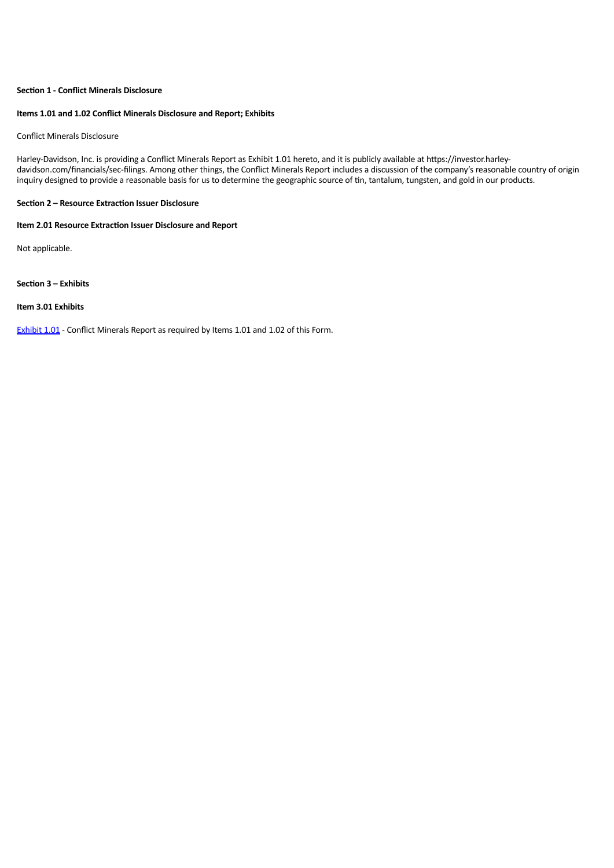### **Section 1 - Conflict Minerals Disclosure**

#### **Items 1.01 and 1.02 Conflict Minerals Disclosure and Report; Exhibits**

#### Conflict Minerals Disclosure

Harley-Davidson, Inc. is providing a Conflict Minerals Report as Exhibit 1.01 hereto, and it is publicly available at https://investor.harleydavidson.com/financials/sec-filings. Among other things, the Conflict Minerals Report includes a discussion of the company's reasonable country of origin inquiry designed to provide a reasonable basis for us to determine the geographic source of tin, tantalum, tungsten, and gold in our products.

#### **Section 2 – Resource Extraction Issuer Disclosure**

#### **Item 2.01 Resource Extraction Issuer Disclosure and Report**

Not applicable.

#### **Section 3 – Exhibits**

#### **Item 3.01 Exhibits**

Exhibit 1.01 - Conflict Minerals Report as required by Items 1.01 and 1.02 of this Form.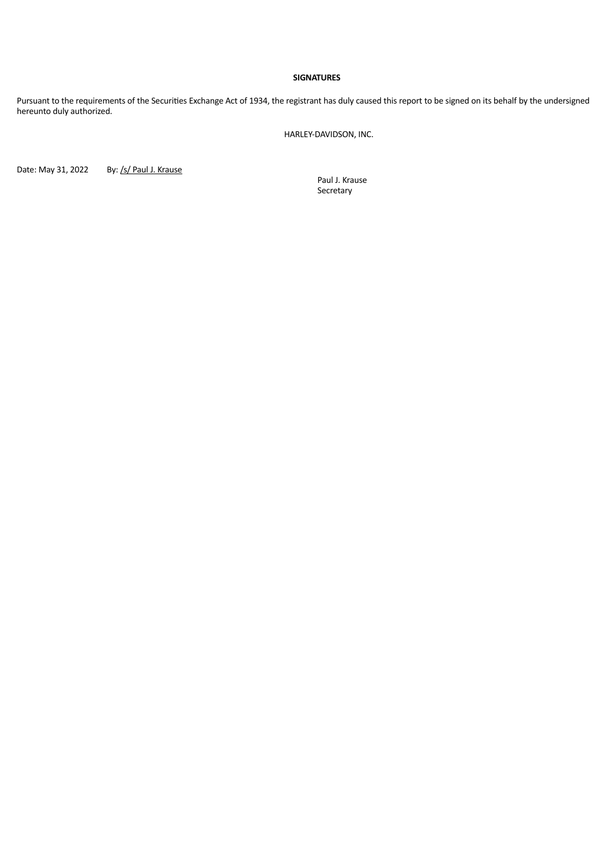#### **SIGNATURES**

Pursuant to the requirements of the Securities Exchange Act of 1934, the registrant has duly caused this report to be signed on its behalf by the undersigned hereunto duly authorized.

HARLEY-DAVIDSON, INC.

Date: May 31, 2022 By: /s/ Paul J. Krause

Paul J. Krause Secretary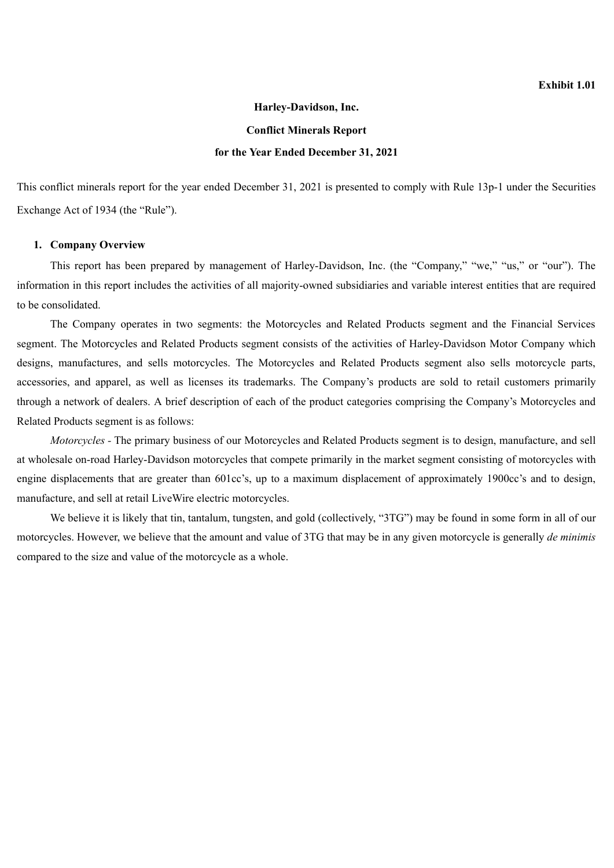### **Harley-Davidson, Inc.**

### **Conflict Minerals Report**

### **for the Year Ended December 31, 2021**

This conflict minerals report for the year ended December 31, 2021 is presented to comply with Rule 13p-1 under the Securities Exchange Act of 1934 (the "Rule").

### **1. Company Overview**

This report has been prepared by management of Harley-Davidson, Inc. (the "Company," "we," "us," or "our"). The information in this report includes the activities of all majority-owned subsidiaries and variable interest entities that are required to be consolidated.

The Company operates in two segments: the Motorcycles and Related Products segment and the Financial Services segment. The Motorcycles and Related Products segment consists of the activities of Harley-Davidson Motor Company which designs, manufactures, and sells motorcycles. The Motorcycles and Related Products segment also sells motorcycle parts, accessories, and apparel, as well as licenses its trademarks. The Company's products are sold to retail customers primarily through a network of dealers. A brief description of each of the product categories comprising the Company's Motorcycles and Related Products segment is as follows:

*Motorcycles -* The primary business of our Motorcycles and Related Products segment is to design, manufacture, and sell at wholesale on-road Harley-Davidson motorcycles that compete primarily in the market segment consisting of motorcycles with engine displacements that are greater than 601cc's, up to a maximum displacement of approximately 1900cc's and to design, manufacture, and sell at retail LiveWire electric motorcycles.

We believe it is likely that tin, tantalum, tungsten, and gold (collectively, "3TG") may be found in some form in all of our motorcycles. However, we believe that the amount and value of 3TG that may be in any given motorcycle is generally *de minimis* compared to the size and value of the motorcycle as a whole.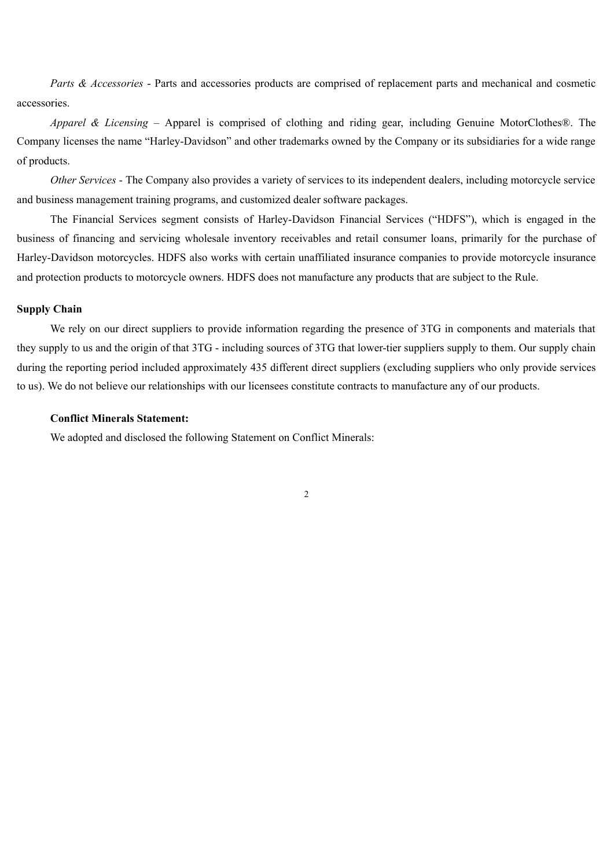*Parts & Accessories* - Parts and accessories products are comprised of replacement parts and mechanical and cosmetic accessories.

*Apparel & Licensing* – Apparel is comprised of clothing and riding gear, including Genuine MotorClothes®. The Company licenses the name "Harley-Davidson" and other trademarks owned by the Company or its subsidiaries for a wide range of products.

*Other Services* - The Company also provides a variety of services to its independent dealers, including motorcycle service and business management training programs, and customized dealer software packages.

The Financial Services segment consists of Harley-Davidson Financial Services ("HDFS"), which is engaged in the business of financing and servicing wholesale inventory receivables and retail consumer loans, primarily for the purchase of Harley-Davidson motorcycles. HDFS also works with certain unaffiliated insurance companies to provide motorcycle insurance and protection products to motorcycle owners. HDFS does not manufacture any products that are subject to the Rule.

# **Supply Chain**

We rely on our direct suppliers to provide information regarding the presence of 3TG in components and materials that they supply to us and the origin of that 3TG - including sources of 3TG that lower-tier suppliers supply to them. Our supply chain during the reporting period included approximately 435 different direct suppliers (excluding suppliers who only provide services to us). We do not believe our relationships with our licensees constitute contracts to manufacture any of our products.

## **Conflict Minerals Statement:**

We adopted and disclosed the following Statement on Conflict Minerals: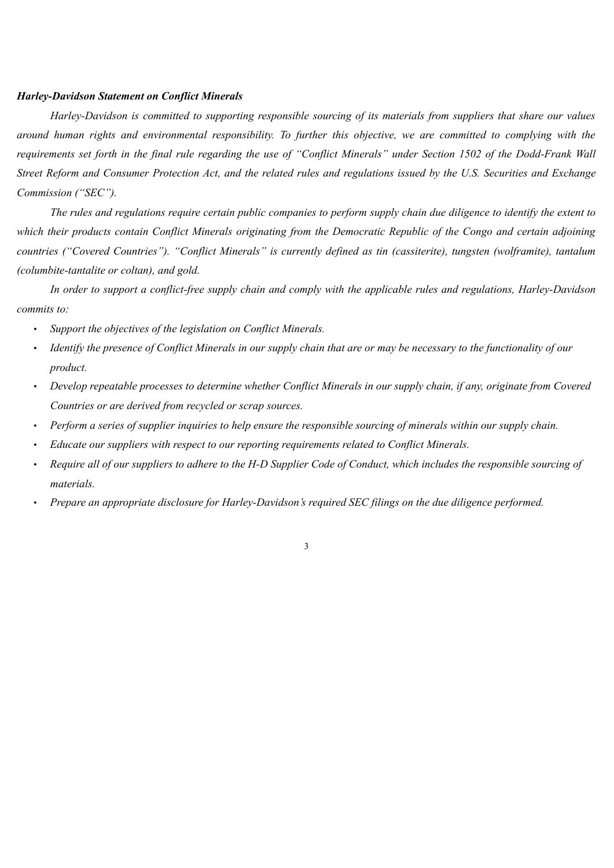## *Harley-Davidson Statement on Conflict Minerals*

*Harley-Davidson is committed to supporting responsible sourcing of its materials from suppliers that share our values around human rights and environmental responsibility. To further this objective, we are committed to complying with the requirements set forth in the final rule regarding the use of "Conflict Minerals" under Section 1502 of the Dodd-Frank Wall Street Reform and Consumer Protection Act, and the related rules and regulations issued by the U.S. Securities and Exchange Commission ("SEC").*

*The rules and regulations require certain public companies to perform supply chain due diligence to identify the extent to which their products contain Conflict Minerals originating from the Democratic Republic of the Congo and certain adjoining countries ("Covered Countries"). "Conflict Minerals" is currently defined as tin (cassiterite), tungsten (wolframite), tantalum (columbite-tantalite or coltan), and gold.*

*In order to support a conflict-free supply chain and comply with the applicable rules and regulations, Harley-Davidson commits to:*

- *Support the objectives of the legislation on Conflict Minerals.*
- *Identify the presence of Conflict Minerals in our supply chain that are or may be necessary to the functionality of our product.*
- *Develop repeatable processes to determine whether Conflict Minerals in our supply chain, if any, originate from Covered Countries or are derived from recycled or scrap sources.*
- *Perform a series of supplier inquiries to help ensure the responsible sourcing of minerals within our supply chain.*
- *Educate our suppliers with respect to our reporting requirements related to Conflict Minerals.*
- *Require all of our suppliers to adhere to the H-D Supplier Code of Conduct, which includes the responsible sourcing of materials.*

3

• *Prepare an appropriate disclosure for Harley-Davidson's required SEC filings on the due diligence performed.*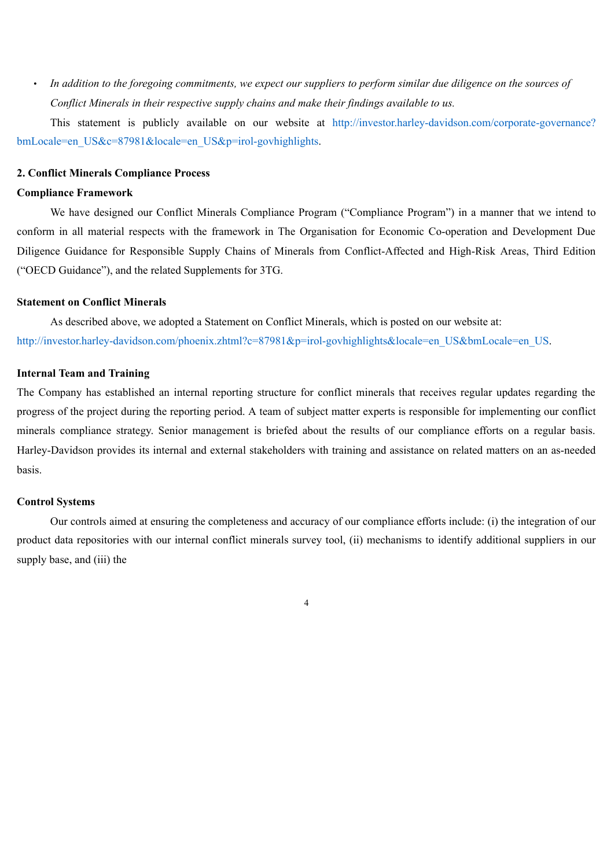• *In addition to the foregoing commitments, we expect our suppliers to perform similar due diligence on the sources of Conflict Minerals in their respective supply chains and make their findings available to us.*

This statement is publicly available on our website at http://investor.harley-davidson.com/corporate-governance? bmLocale=en\_US&c=87981&locale=en\_US&p=irol-govhighlights.

### **2. Conflict Minerals Compliance Process**

### **Compliance Framework**

We have designed our Conflict Minerals Compliance Program ("Compliance Program") in a manner that we intend to conform in all material respects with the framework in The Organisation for Economic Co-operation and Development Due Diligence Guidance for Responsible Supply Chains of Minerals from Conflict-Affected and High-Risk Areas, Third Edition ("OECD Guidance"), and the related Supplements for 3TG.

### **Statement on Conflict Minerals**

As described above, we adopted a Statement on Conflict Minerals, which is posted on our website at: http://investor.harley-davidson.com/phoenix.zhtml?c=87981&p=irol-govhighlights&locale=en\_US&bmLocale=en\_US.

### **Internal Team and Training**

The Company has established an internal reporting structure for conflict minerals that receives regular updates regarding the progress of the project during the reporting period. A team of subject matter experts is responsible for implementing our conflict minerals compliance strategy. Senior management is briefed about the results of our compliance efforts on a regular basis. Harley-Davidson provides its internal and external stakeholders with training and assistance on related matters on an as-needed basis.

### **Control Systems**

Our controls aimed at ensuring the completeness and accuracy of our compliance efforts include: (i) the integration of our product data repositories with our internal conflict minerals survey tool, (ii) mechanisms to identify additional suppliers in our supply base, and (iii) the

4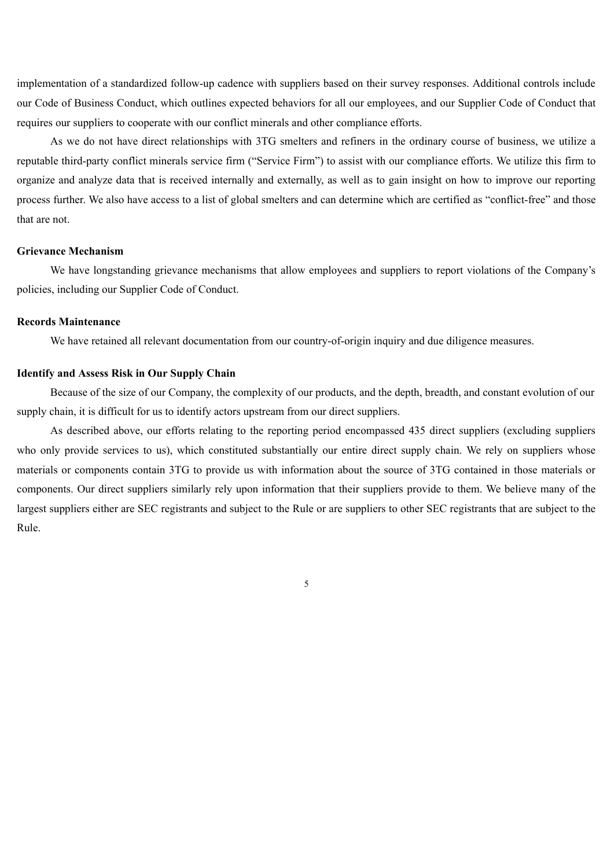implementation of a standardized follow-up cadence with suppliers based on their survey responses. Additional controls include our Code of Business Conduct, which outlines expected behaviors for all our employees, and our Supplier Code of Conduct that requires our suppliers to cooperate with our conflict minerals and other compliance efforts.

As we do not have direct relationships with 3TG smelters and refiners in the ordinary course of business, we utilize a reputable third-party conflict minerals service firm ("Service Firm") to assist with our compliance efforts. We utilize this firm to organize and analyze data that is received internally and externally, as well as to gain insight on how to improve our reporting process further. We also have access to a list of global smelters and can determine which are certified as "conflict-free" and those that are not.

#### **Grievance Mechanism**

We have longstanding grievance mechanisms that allow employees and suppliers to report violations of the Company's policies, including our Supplier Code of Conduct.

## **Records Maintenance**

We have retained all relevant documentation from our country-of-origin inquiry and due diligence measures.

### **Identify and Assess Risk in Our Supply Chain**

Because of the size of our Company, the complexity of our products, and the depth, breadth, and constant evolution of our supply chain, it is difficult for us to identify actors upstream from our direct suppliers.

As described above, our efforts relating to the reporting period encompassed 435 direct suppliers (excluding suppliers who only provide services to us), which constituted substantially our entire direct supply chain. We rely on suppliers whose materials or components contain 3TG to provide us with information about the source of 3TG contained in those materials or components. Our direct suppliers similarly rely upon information that their suppliers provide to them. We believe many of the largest suppliers either are SEC registrants and subject to the Rule or are suppliers to other SEC registrants that are subject to the Rule.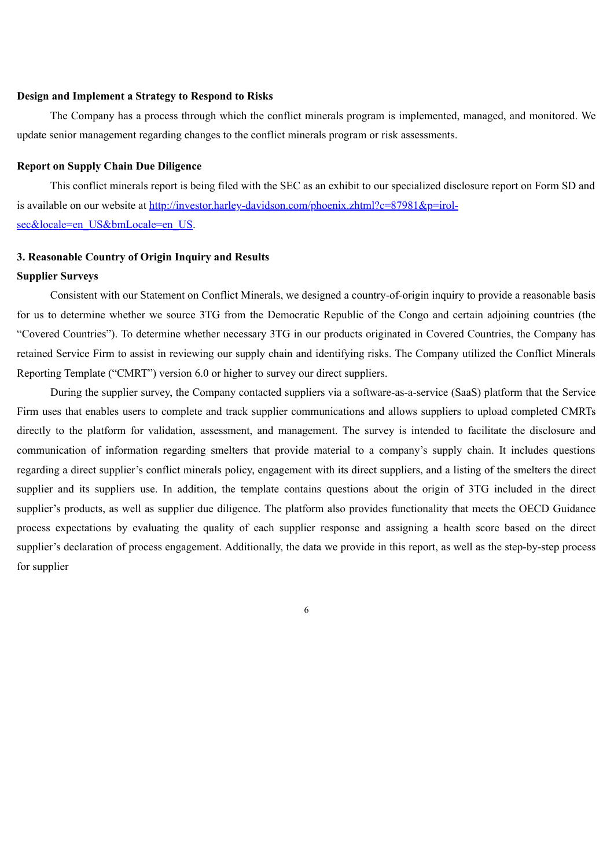## **Design and Implement a Strategy to Respond to Risks**

The Company has a process through which the conflict minerals program is implemented, managed, and monitored. We update senior management regarding changes to the conflict minerals program or risk assessments.

### **Report on Supply Chain Due Diligence**

This conflict minerals report is being filed with the SEC as an exhibit to our specialized disclosure report on Form SD and is available on our website at http://investor.harley-davidson.com/phoenix.zhtml?c=87981&p=irolsec&locale=en\_US&bmLocale=en\_US.

### **3. Reasonable Country of Origin Inquiry and Results**

## **Supplier Surveys**

Consistent with our Statement on Conflict Minerals, we designed a country-of-origin inquiry to provide a reasonable basis for us to determine whether we source 3TG from the Democratic Republic of the Congo and certain adjoining countries (the "Covered Countries"). To determine whether necessary 3TG in our products originated in Covered Countries, the Company has retained Service Firm to assist in reviewing our supply chain and identifying risks. The Company utilized the Conflict Minerals Reporting Template ("CMRT") version 6.0 or higher to survey our direct suppliers.

During the supplier survey, the Company contacted suppliers via a software-as-a-service (SaaS) platform that the Service Firm uses that enables users to complete and track supplier communications and allows suppliers to upload completed CMRTs directly to the platform for validation, assessment, and management. The survey is intended to facilitate the disclosure and communication of information regarding smelters that provide material to a company's supply chain. It includes questions regarding a direct supplier's conflict minerals policy, engagement with its direct suppliers, and a listing of the smelters the direct supplier and its suppliers use. In addition, the template contains questions about the origin of 3TG included in the direct supplier's products, as well as supplier due diligence. The platform also provides functionality that meets the OECD Guidance process expectations by evaluating the quality of each supplier response and assigning a health score based on the direct supplier's declaration of process engagement. Additionally, the data we provide in this report, as well as the step-by-step process for supplier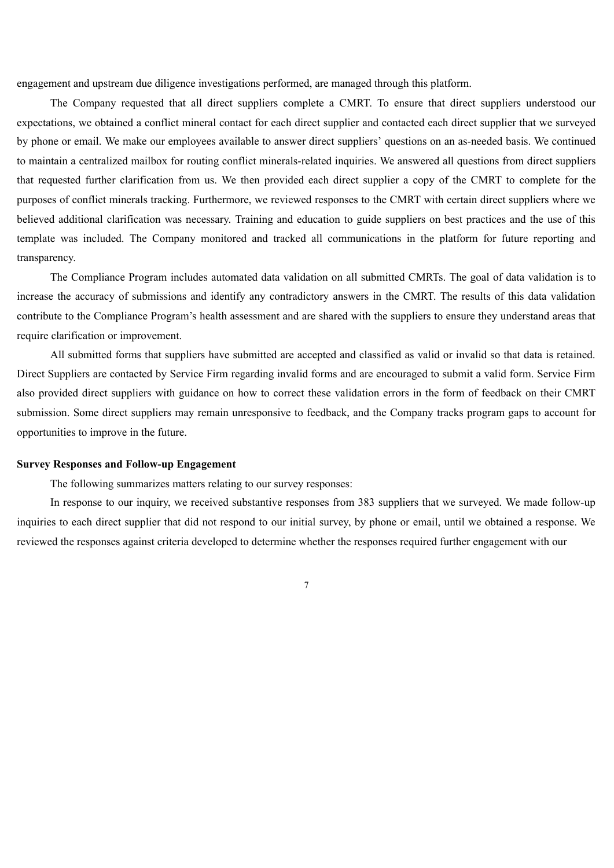engagement and upstream due diligence investigations performed, are managed through this platform.

The Company requested that all direct suppliers complete a CMRT. To ensure that direct suppliers understood our expectations, we obtained a conflict mineral contact for each direct supplier and contacted each direct supplier that we surveyed by phone or email. We make our employees available to answer direct suppliers' questions on an as-needed basis. We continued to maintain a centralized mailbox for routing conflict minerals-related inquiries. We answered all questions from direct suppliers that requested further clarification from us. We then provided each direct supplier a copy of the CMRT to complete for the purposes of conflict minerals tracking. Furthermore, we reviewed responses to the CMRT with certain direct suppliers where we believed additional clarification was necessary. Training and education to guide suppliers on best practices and the use of this template was included. The Company monitored and tracked all communications in the platform for future reporting and transparency.

The Compliance Program includes automated data validation on all submitted CMRTs. The goal of data validation is to increase the accuracy of submissions and identify any contradictory answers in the CMRT. The results of this data validation contribute to the Compliance Program's health assessment and are shared with the suppliers to ensure they understand areas that require clarification or improvement.

All submitted forms that suppliers have submitted are accepted and classified as valid or invalid so that data is retained. Direct Suppliers are contacted by Service Firm regarding invalid forms and are encouraged to submit a valid form. Service Firm also provided direct suppliers with guidance on how to correct these validation errors in the form of feedback on their CMRT submission. Some direct suppliers may remain unresponsive to feedback, and the Company tracks program gaps to account for opportunities to improve in the future.

#### **Survey Responses and Follow-up Engagement**

The following summarizes matters relating to our survey responses:

In response to our inquiry, we received substantive responses from 383 suppliers that we surveyed. We made follow-up inquiries to each direct supplier that did not respond to our initial survey, by phone or email, until we obtained a response. We reviewed the responses against criteria developed to determine whether the responses required further engagement with our

7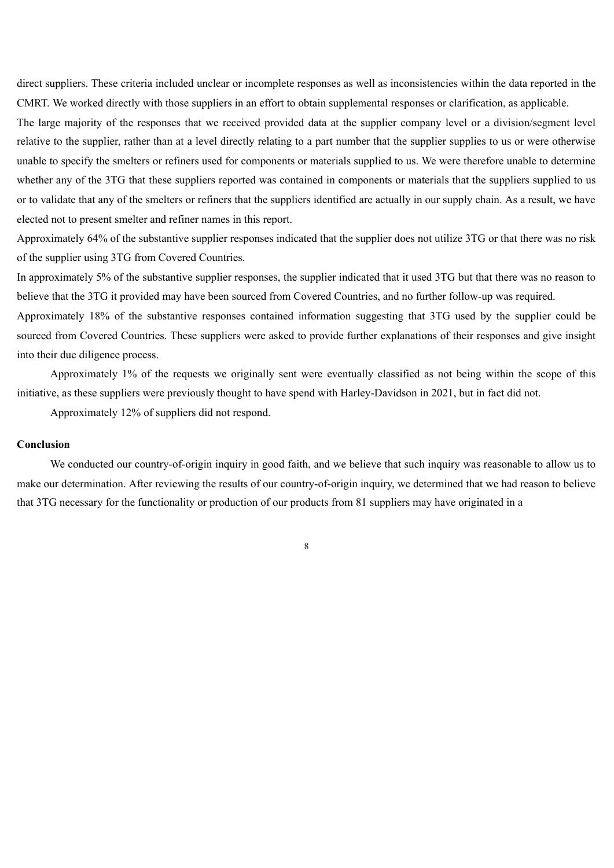direct suppliers. These criteria included unclear or incomplete responses as well as inconsistencies within the data reported in the CMRT. We worked directly with those suppliers in an effort to obtain supplemental responses or clarification, as applicable.

The large majority of the responses that we received provided data at the supplier company level or a division/segment level relative to the supplier, rather than at a level directly relating to a part number that the supplier supplies to us or were otherwise unable to specify the smelters or refiners used for components or materials supplied to us. We were therefore unable to determine whether any of the 3TG that these suppliers reported was contained in components or materials that the suppliers supplied to us or to validate that any of the smelters or refiners that the suppliers identified are actually in our supply chain. As a result, we have elected not to present smelter and refiner names in this report.

Approximately 64% of the substantive supplier responses indicated that the supplier does not utilize 3TG or that there was no risk of the supplier using 3TG from Covered Countries.

In approximately 5% of the substantive supplier responses, the supplier indicated that it used 3TG but that there was no reason to believe that the 3TG it provided may have been sourced from Covered Countries, and no further follow-up was required.

Approximately 18% of the substantive responses contained information suggesting that 3TG used by the supplier could be sourced from Covered Countries. These suppliers were asked to provide further explanations of their responses and give insight into their due diligence process.

Approximately 1% of the requests we originally sent were eventually classified as not being within the scope of this initiative, as these suppliers were previously thought to have spend with Harley-Davidson in 2021, but in fact did not.

Approximately 12% of suppliers did not respond.

### **Conclusion**

We conducted our country-of-origin inquiry in good faith, and we believe that such inquiry was reasonable to allow us to make our determination. After reviewing the results of our country-of-origin inquiry, we determined that we had reason to believe that 3TG necessary for the functionality or production of our products from 81 suppliers may have originated in a